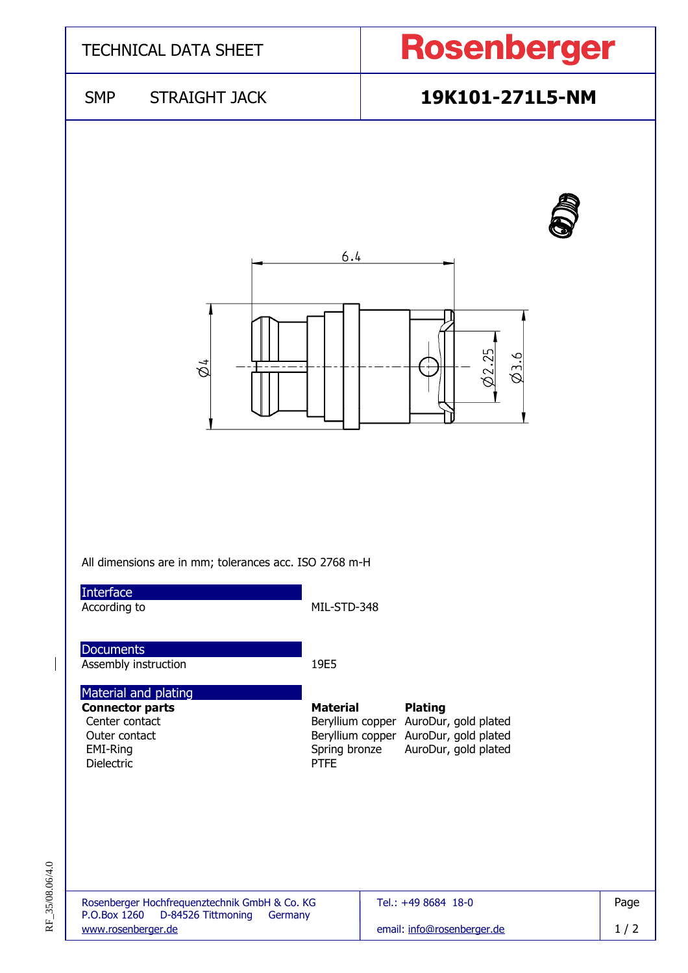